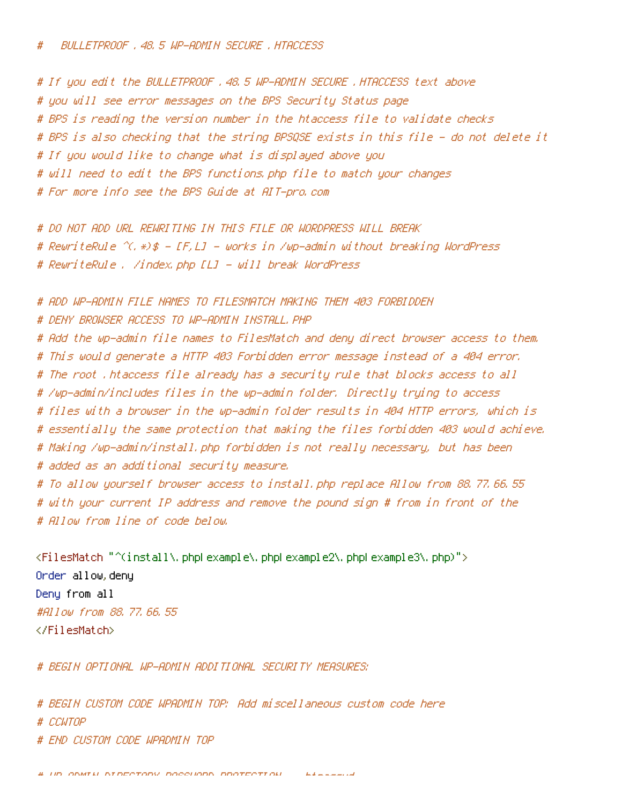# If you edit the BULLETPROOF .48.5 WP-ADMIN SECURE .HTACCESS text above # you will see error messages on the BPS Security Status page # BPS is reading the version number in the htaccess file to validate checks # BPS is also checking that the string BPSQSE exists in this file - do not delete it # If you would like to change what is displayed above you # will need to edit the BPS functions.php file to match your changes # For more info see the BPS Guide at AIT-pro.com

# DO NOT ADD URL REWRITING IN THIS FILE OR WORDPRESS WILL BREAK # RewriteRule  $\gamma$ ,  $\ast$ )\$ - [F,L] - works in /wp-admin without breaking WordPress # RewriteRule . /index.php [L] - will break WordPress

# ADD WP-ADMIN FILE NAMES TO FILESMATCH MAKING THEM 403 FORBIDDEN # DENY BROWSER ACCESS TO WP-ADMIN INSTALL.PHP # Add the wp-admin file names to FilesMatch and deny direct browser access to them. # This would generate <sup>a</sup> HTTP 403 Forbidden error message instead of <sup>a</sup> 404 error. # The root .htaccess file already has <sup>a</sup> security rule that blocks access to all # /wp-admin/includes files in the wp-admin folder. Directly trying to access # files with <sup>a</sup> browser in the wp-admin folder results in 404 HTTP errors, which is # essentially the same protection that making the files forbidden 403 would achieve. # Making /wp-admin/install.php forbidden is not really necessary, but has been # added as an additional security measure. # To allow yourself browser access to install.php replace Allow from 88.77.66.55 # with your current IP address and remove the pound sign # from in front of the # Allow from line of code below.

<FilesMatch "^(install\.php|example\.php|example2\.php|example3\.php)"> Order allow,deny Deny from all #Allow from 88.77.66.55 </FilesMatch>

# BEGIN OPTIONAL WP-ADMIN ADDITIONAL SECURITY MEASURES:

# BEGIN CUSTOM CODE WPADMIN TOP: Add miscellaneous custom code here # CCWTOP # END CUSTOM CODE WPADMIN TOP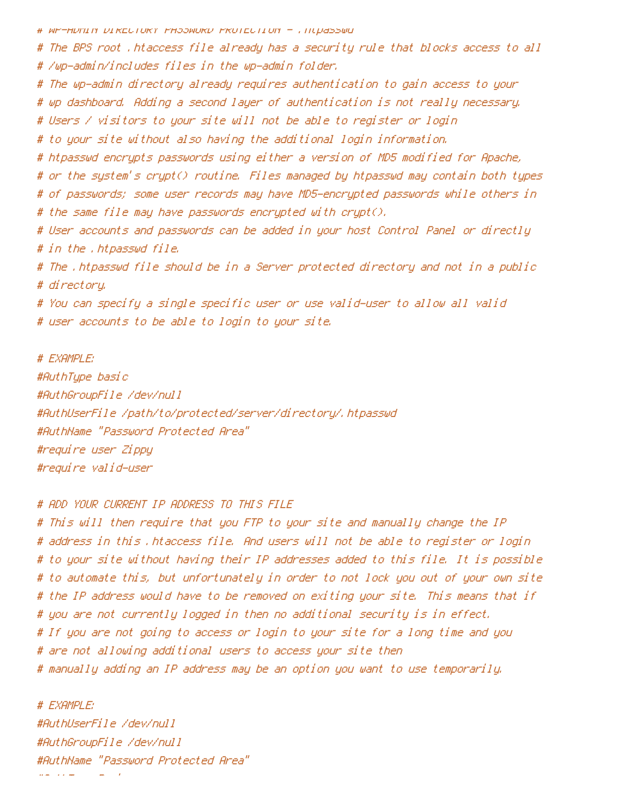# WP-ADMIN DIRECTORY PASSWORD PROTECTION - .htpasswd

# The BPS root .htaccess file already has <sup>a</sup> security rule that blocks access to all # /wp-admin/includes files in the wp-admin folder.

# The wp-admin directory already requires authentication to gain access to your

# wp dashboard. Adding <sup>a</sup> second layer of authentication is not really necessary.

# Users / visitors to your site will not be able to register or login

# to your site without also having the additional login information.

# htpasswd encrypts passwords using either <sup>a</sup> version of MD5 modified for Apache,

# or the system's crypt() routine. Files managed by htpasswd may contain both types

# of passwords; some user records may have MD5-encrypted passwords while others in

# the same file may have passwords encrypted with crypt().

# User accounts and passwords can be added in your host Control Panel or directly # in the .htpasswd file.

# The .htpasswd file should be in <sup>a</sup> Server protected directory and not in <sup>a</sup> public # directory.

# You can specify <sup>a</sup> single specific user or use valid-user to allow all valid # user accounts to be able to login to your site.

# EXAMPLE: #AuthType basic #AuthGroupFile /dev/null #AuthUserFile /path/to/protected/server/directory/.htpasswd #AuthName "Password Protected Area" #require user Zippy #require valid-user

## # ADD YOUR CURRENT IP ADDRESS TO THIS FILE

# This will then require that you FTP to your site and manually change the IP # address in this .htaccess file. And users will not be able to register or login # to your site without having their IP addresses added to this file. It is possible # to automate this, but unfortunately in order to not lock you out of your own site # the IP address would have to be removed on exiting your site. This means that if # you are not currently logged in then no additional security is in effect. # If you are not going to access or login to your site for <sup>a</sup> long time and you # are not allowing additional users to access your site then # manually adding an IP address may be an option you want to use temporarily.

# EXAMPLE: #AuthUserFile /dev/null #AuthGroupFile /dev/null #AuthName "Password Protected Area" #AuthType Basic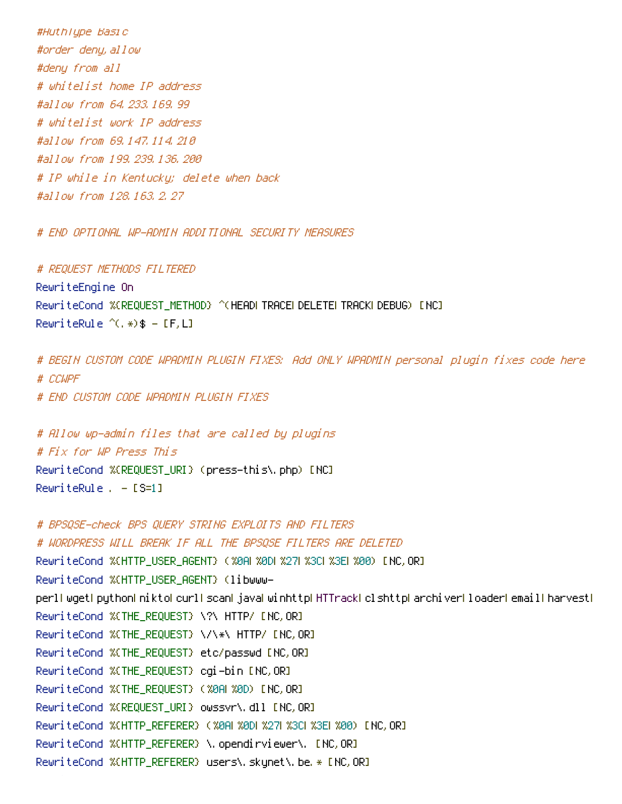#AuthType Basic #order deny,allow #deny from all # whitelist home IP address #allow from 64.233.169.99 # whitelist work IP address #allow from 69.147.114.210 #allow from 199.239.136.200 # IP while in Kentucky; delete when back #allow from 128.163.2.27

# END OPTIONAL WP-ADMIN ADDITIONAL SECURITY MEASURES

# REQUEST METHODS FILTERED RewriteEngine On RewriteCond %{REQUEST\_METHOD} ^(HEAD|TRACE|DELETE|TRACK|DEBUG) [NC] RewriteRule  $^{\wedge}$ (, \*)  $\$ - [F, L]$ 

# BEGIN CUSTOM CODE WPADMIN PLUGIN FIXES: Add ONLY WPADMIN personal plugin fixes code here # CCWPF # END CUSTOM CODE WPADMIN PLUGIN FIXES

# Allow wp-admin files that are called by plugins # Fix for WP Press This

RewriteCond %{REQUEST\_URI} (press-this\.php) [NC] RewriteRule . - [S=1]

# BPSQSE-check BPS QUERY STRING EXPLOITS AND FILTERS # WORDPRESS WILL BREAK IF ALL THE BPSQSE FILTERS ARE DELETED RewriteCond %{HTTP\_USER\_AGENT} (%0A|%0D|%27|%3C|%3E|%00) [NC,OR] RewriteCond %{HTTP\_USER\_AGENT} (libwwwperl|wget|python|nikto|curl|scan|java|winhttp|HTTrack|clshttp|archiver|loader|email|harvest| RewriteCond %{THE\_REQUEST} \?\ HTTP/ [NC,OR] RewriteCond %{THE\_REQUEST} \/\\*\ HTTP/ [NC,OR] RewriteCond %{THE\_REQUEST} etc/passwd [NC,OR] RewriteCond %{THE\_REQUEST} cgi-bin [NC,OR] RewriteCond %{THE\_REQUEST} (%0A|%0D) [NC,OR] RewriteCond %{REQUEST\_URI} owssvr\.dll [NC,OR] RewriteCond %{HTTP\_REFERER} (%0A| %0D| %27| %3C| %3E| %00) [NC, OR] RewriteCond %{HTTP\_REFERER} \.opendirviewer\. [NC,OR] RewriteCond %{HTTP\_REFERER} users\.skynet\.be.\* [NC,OR]